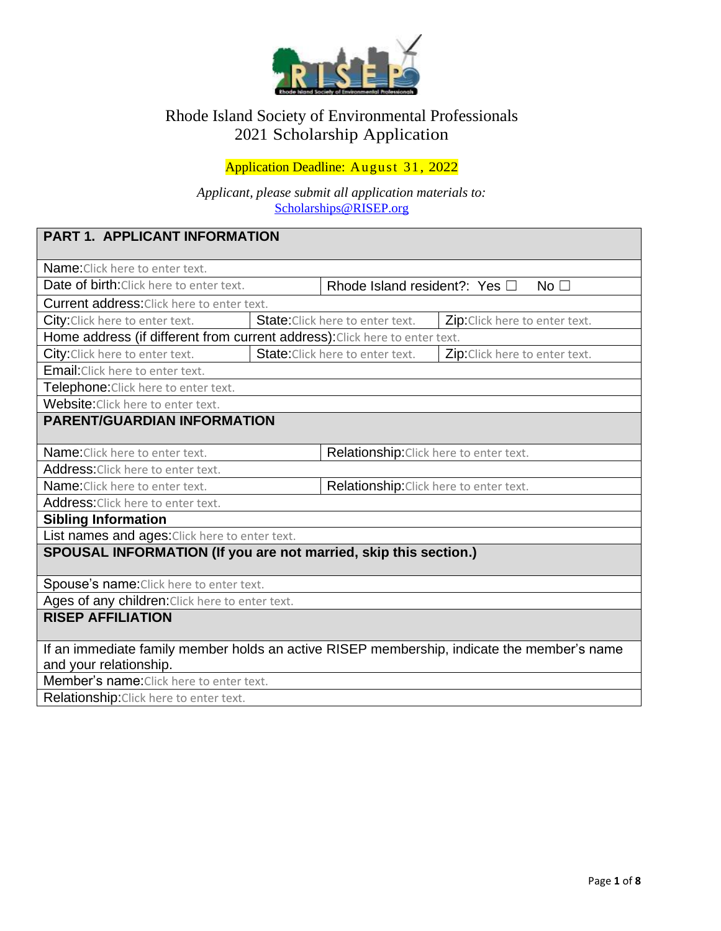

## Rhode Island Society of Environmental Professionals 2021 Scholarship Application

## Application Deadline: August 31, 2022

*Applicant, please submit all application materials to:* [Scholarships@RISEP.org](mailto:Scholarships@RISEP.org)

| <b>PART 1. APPLICANT INFORMATION</b>                                                                                 |                                                                           |                                         |                                                    |  |  |
|----------------------------------------------------------------------------------------------------------------------|---------------------------------------------------------------------------|-----------------------------------------|----------------------------------------------------|--|--|
| Name: Click here to enter text.                                                                                      |                                                                           |                                         |                                                    |  |  |
| Date of birth: Click here to enter text.                                                                             |                                                                           |                                         | Rhode Island resident?: Yes $\Box$<br>No $\square$ |  |  |
| Current address: Click here to enter text.                                                                           |                                                                           |                                         |                                                    |  |  |
| City: Click here to enter text.                                                                                      | <b>State:</b> Click here to enter text.<br>Zip: Click here to enter text. |                                         |                                                    |  |  |
| Home address (if different from current address): Click here to enter text.                                          |                                                                           |                                         |                                                    |  |  |
| City: Click here to enter text.                                                                                      |                                                                           | State: Click here to enter text.        | Zip: Click here to enter text.                     |  |  |
| Email: Click here to enter text.                                                                                     |                                                                           |                                         |                                                    |  |  |
| <b>Telephone:</b> Click here to enter text.                                                                          |                                                                           |                                         |                                                    |  |  |
| Website: Click here to enter text.                                                                                   |                                                                           |                                         |                                                    |  |  |
| <b>PARENT/GUARDIAN INFORMATION</b>                                                                                   |                                                                           |                                         |                                                    |  |  |
| <b>Name:</b> Click here to enter text.                                                                               |                                                                           | Relationship: Click here to enter text. |                                                    |  |  |
| Address: Click here to enter text.                                                                                   |                                                                           |                                         |                                                    |  |  |
| Relationship: Click here to enter text.<br><b>Name:</b> Click here to enter text.                                    |                                                                           |                                         |                                                    |  |  |
| Address: Click here to enter text.                                                                                   |                                                                           |                                         |                                                    |  |  |
| <b>Sibling Information</b>                                                                                           |                                                                           |                                         |                                                    |  |  |
| List names and ages: Click here to enter text.                                                                       |                                                                           |                                         |                                                    |  |  |
| SPOUSAL INFORMATION (If you are not married, skip this section.)                                                     |                                                                           |                                         |                                                    |  |  |
| Spouse's name: Click here to enter text.                                                                             |                                                                           |                                         |                                                    |  |  |
| Ages of any children: Click here to enter text.                                                                      |                                                                           |                                         |                                                    |  |  |
| <b>RISEP AFFILIATION</b>                                                                                             |                                                                           |                                         |                                                    |  |  |
| If an immediate family member holds an active RISEP membership, indicate the member's name<br>and your relationship. |                                                                           |                                         |                                                    |  |  |
| <b>Member's name:</b> Click here to enter text.                                                                      |                                                                           |                                         |                                                    |  |  |
| Relationship: Click here to enter text.                                                                              |                                                                           |                                         |                                                    |  |  |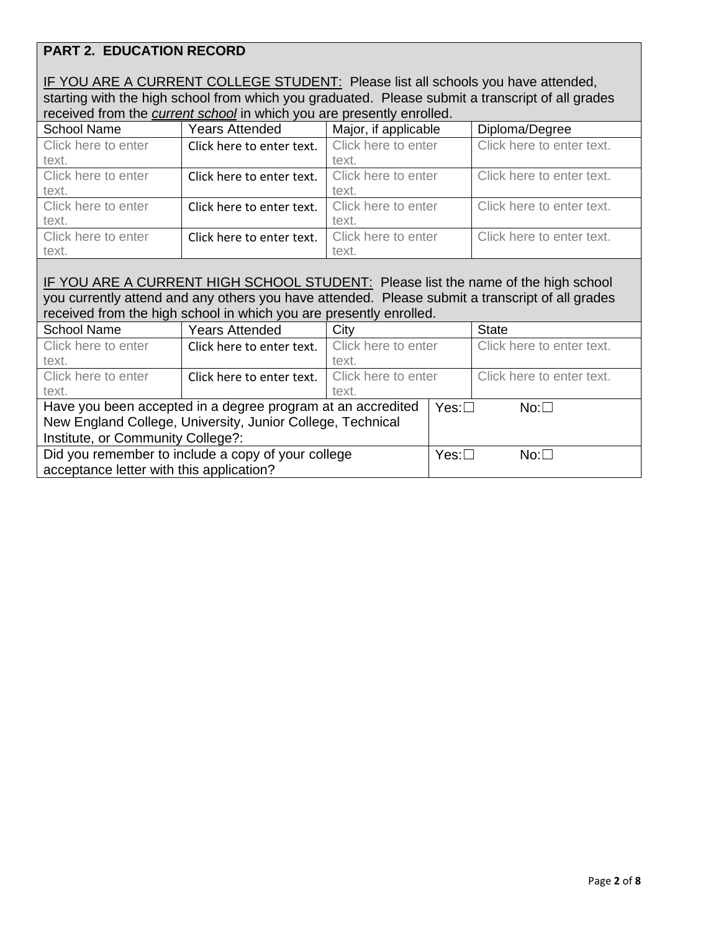## **PART 2. EDUCATION RECORD**

| IF YOU ARE A CURRENT COLLEGE STUDENT: Please list all schools you have attended,                 |
|--------------------------------------------------------------------------------------------------|
| starting with the high school from which you graduated. Please submit a transcript of all grades |
| received from the current school in which you are presently enrolled.                            |

| <b>School Name</b>  | <b>Years Attended</b>     | Major, if applicable | Diploma/Degree            |
|---------------------|---------------------------|----------------------|---------------------------|
| Click here to enter | Click here to enter text. | Click here to enter  | Click here to enter text. |
| text.               |                           | text.                |                           |
| Click here to enter | Click here to enter text. | Click here to enter  | Click here to enter text. |
| text.               |                           | text.                |                           |
| Click here to enter | Click here to enter text. | Click here to enter  | Click here to enter text. |
| text.               |                           | text.                |                           |
| Click here to enter | Click here to enter text. | Click here to enter  | Click here to enter text. |
| text.               |                           | text.                |                           |

### IF YOU ARE A CURRENT HIGH SCHOOL STUDENT: Please list the name of the high school you currently attend and any others you have attended. Please submit a transcript of all grades received from the high school in which you are presently enrolled.

| <b>School Name</b>                                          | <b>Years Attended</b>     | City                |            | <b>State</b>              |
|-------------------------------------------------------------|---------------------------|---------------------|------------|---------------------------|
| Click here to enter                                         | Click here to enter text. | Click here to enter |            | Click here to enter text. |
| text.                                                       |                           | text.               |            |                           |
| Click here to enter                                         | Click here to enter text. | Click here to enter |            | Click here to enter text. |
| text.                                                       |                           | text.               |            |                           |
| Have you been accepted in a degree program at an accredited |                           | $Yes: \Box$         | $No: \Box$ |                           |
| New England College, University, Junior College, Technical  |                           |                     |            |                           |
| Institute, or Community College?:                           |                           |                     |            |                           |
| Did you remember to include a copy of your college          |                           | $Yes: \Box$         | $No: \Box$ |                           |
| acceptance letter with this application?                    |                           |                     |            |                           |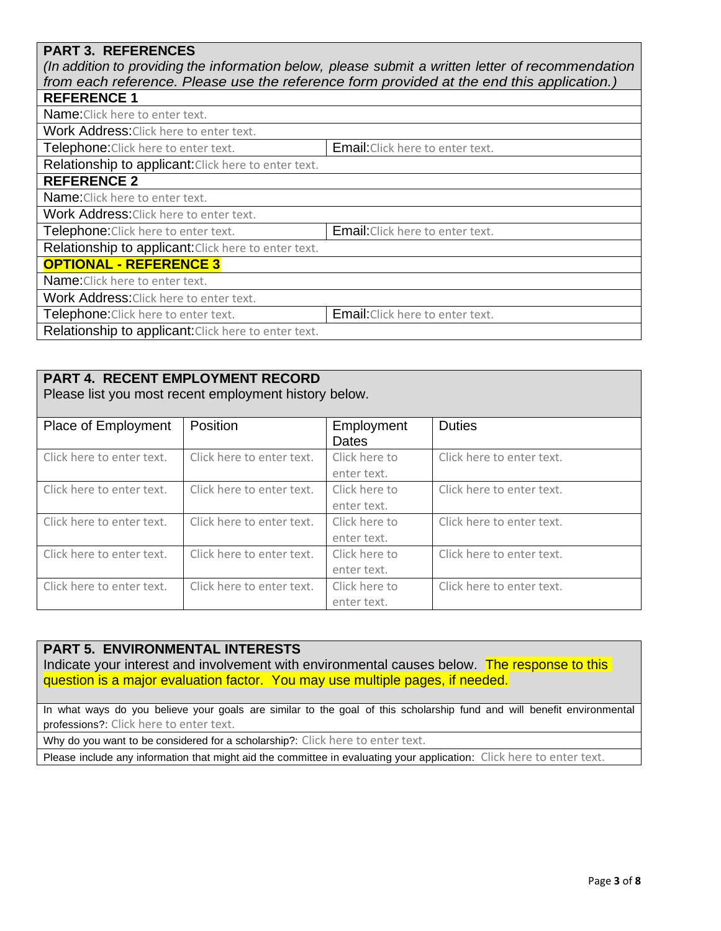### **PART 3. REFERENCES**

*(In addition to providing the information below, please submit a written letter of recommendation from each reference. Please use the reference form provided at the end this application.)*

| <b>REFERENCE 1</b>                                   |                                  |
|------------------------------------------------------|----------------------------------|
| Name: Click here to enter text.                      |                                  |
| Work Address: Click here to enter text.              |                                  |
| Telephone: Click here to enter text.                 | Email: Click here to enter text. |
| Relationship to applicant: Click here to enter text. |                                  |
| <b>REFERENCE 2</b>                                   |                                  |
| Name: Click here to enter text.                      |                                  |
| Work Address: Click here to enter text.              |                                  |
| Telephone: Click here to enter text.                 | Email: Click here to enter text. |
| Relationship to applicant: Click here to enter text. |                                  |
| <b>OPTIONAL - REFERENCE 3</b>                        |                                  |
| Name: Click here to enter text.                      |                                  |
| Work Address: Click here to enter text.              |                                  |
| Telephone: Click here to enter text.                 | Email: Click here to enter text. |
| Relationship to applicant: Click here to enter text. |                                  |

### **PART 4. RECENT EMPLOYMENT RECORD**

Please list you most recent employment history below.

| Place of Employment       | Position                  | Employment    | <b>Duties</b>             |
|---------------------------|---------------------------|---------------|---------------------------|
|                           |                           | Dates         |                           |
| Click here to enter text. | Click here to enter text. | Click here to | Click here to enter text. |
|                           |                           | enter text.   |                           |
| Click here to enter text. | Click here to enter text. | Click here to | Click here to enter text. |
|                           |                           | enter text.   |                           |
| Click here to enter text. | Click here to enter text. | Click here to | Click here to enter text. |
|                           |                           | enter text.   |                           |
| Click here to enter text. | Click here to enter text. | Click here to | Click here to enter text. |
|                           |                           | enter text.   |                           |
| Click here to enter text. | Click here to enter text. | Click here to | Click here to enter text. |
|                           |                           | enter text.   |                           |

### **PART 5. ENVIRONMENTAL INTERESTS**

Indicate your interest and involvement with environmental causes below. The response to this question is a major evaluation factor. You may use multiple pages, if needed.

In what ways do you believe your goals are similar to the goal of this scholarship fund and will benefit environmental professions?: Click here to enter text.

Why do you want to be considered for a scholarship?: Click here to enter text.

Please include any information that might aid the committee in evaluating your application: Click here to enter text.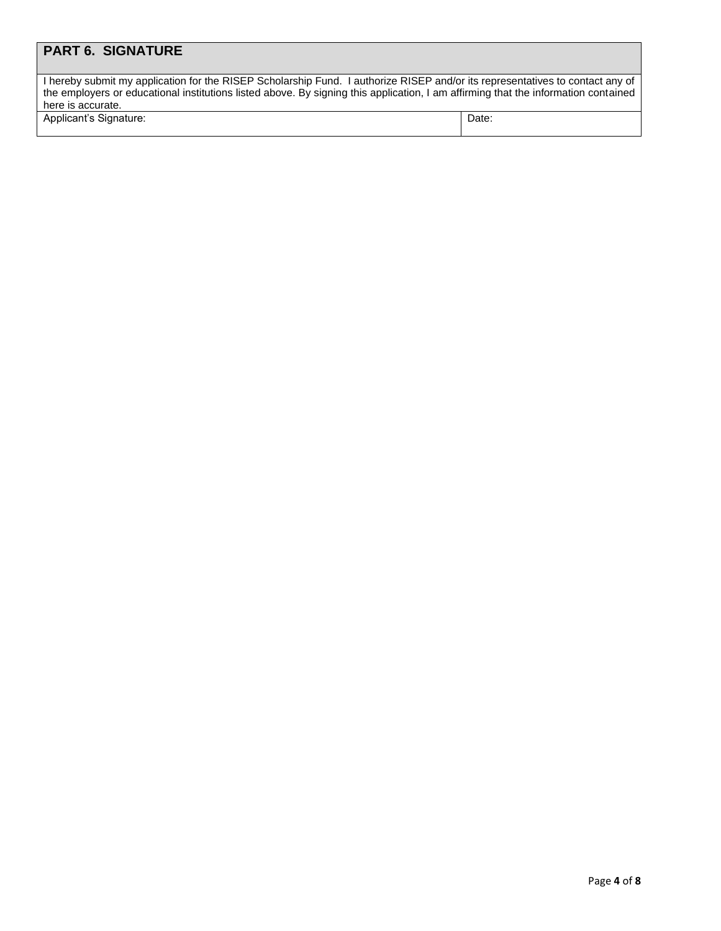## **PART 6. SIGNATURE**

| I hereby submit my application for the RISEP Scholarship Fund. I authorize RISEP and/or its representatives to contact any of      |
|------------------------------------------------------------------------------------------------------------------------------------|
| the employers or educational institutions listed above. By signing this application, I am affirming that the information contained |
| here is accurate.                                                                                                                  |

Applicant's Signature: Date: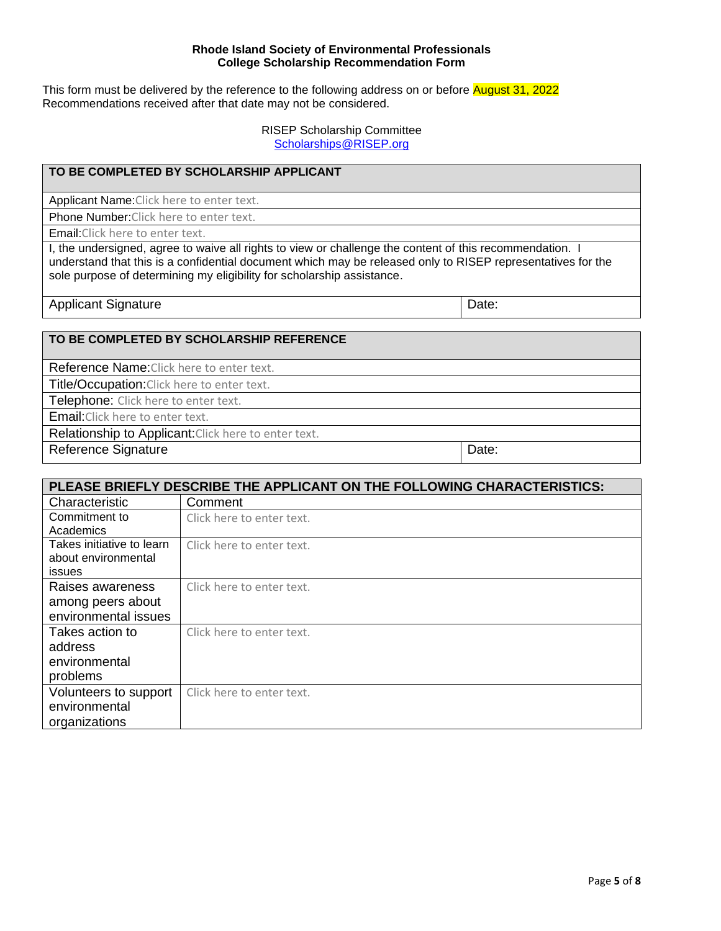#### **Rhode Island Society of Environmental Professionals College Scholarship Recommendation Form**

This form must be delivered by the reference to the following address on or before **August 31, 2022** Recommendations received after that date may not be considered.

> RISEP Scholarship Committee [Scholarships@RISEP.org](mailto:Scholarships@RISEP.org)

#### **TO BE COMPLETED BY SCHOLARSHIP APPLICANT**

Applicant Name:Click here to enter text.

Phone Number:Click here to enter text.

Email:Click here to enter text.

I, the undersigned, agree to waive all rights to view or challenge the content of this recommendation. I understand that this is a confidential document which may be released only to RISEP representatives for the sole purpose of determining my eligibility for scholarship assistance.

Applicant Signature **Date: Date: Date: Date: Date: Date: Date: Date: Date: Date: Date: Date: Date: Date: Date: Date: Date: Date: Date: Date: Date: Date: Date: Date: Date: D** 

#### **TO BE COMPLETED BY SCHOLARSHIP REFERENCE**

Reference Name:Click here to enter text.

Title/Occupation: Click here to enter text.

Telephone: Click here to enter text.

Email:Click here to enter text.

Relationship to Applicant: Click here to enter text.

Reference Signature Date:

| PLEASE BRIEFLY DESCRIBE THE APPLICANT ON THE FOLLOWING CHARACTERISTICS: |                           |  |
|-------------------------------------------------------------------------|---------------------------|--|
| Characteristic                                                          | Comment                   |  |
| Commitment to                                                           | Click here to enter text. |  |
| Academics                                                               |                           |  |
| Takes initiative to learn                                               | Click here to enter text. |  |
| about environmental                                                     |                           |  |
| <b>issues</b>                                                           |                           |  |
| Raises awareness                                                        | Click here to enter text. |  |
| among peers about                                                       |                           |  |
| environmental issues                                                    |                           |  |
| Takes action to                                                         | Click here to enter text. |  |
| address                                                                 |                           |  |
| environmental                                                           |                           |  |
| problems                                                                |                           |  |
| Volunteers to support                                                   | Click here to enter text. |  |
| environmental                                                           |                           |  |
| organizations                                                           |                           |  |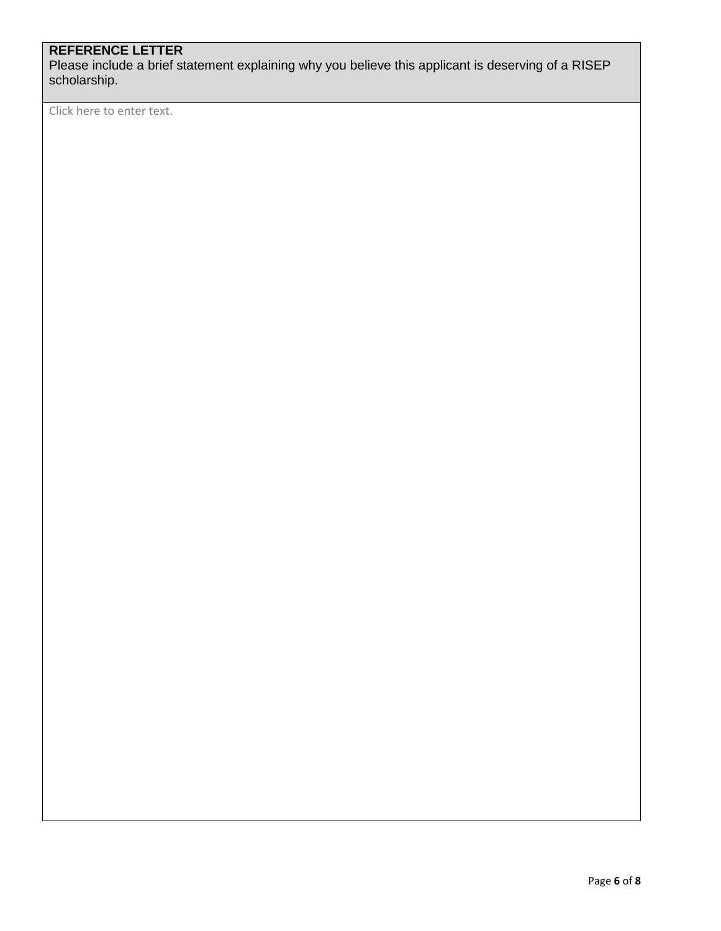## **REFERENCE LETTER**

Please include a brief statement explaining why you believe this applicant is deserving of a RISEP scholarship.

Click here to enter text.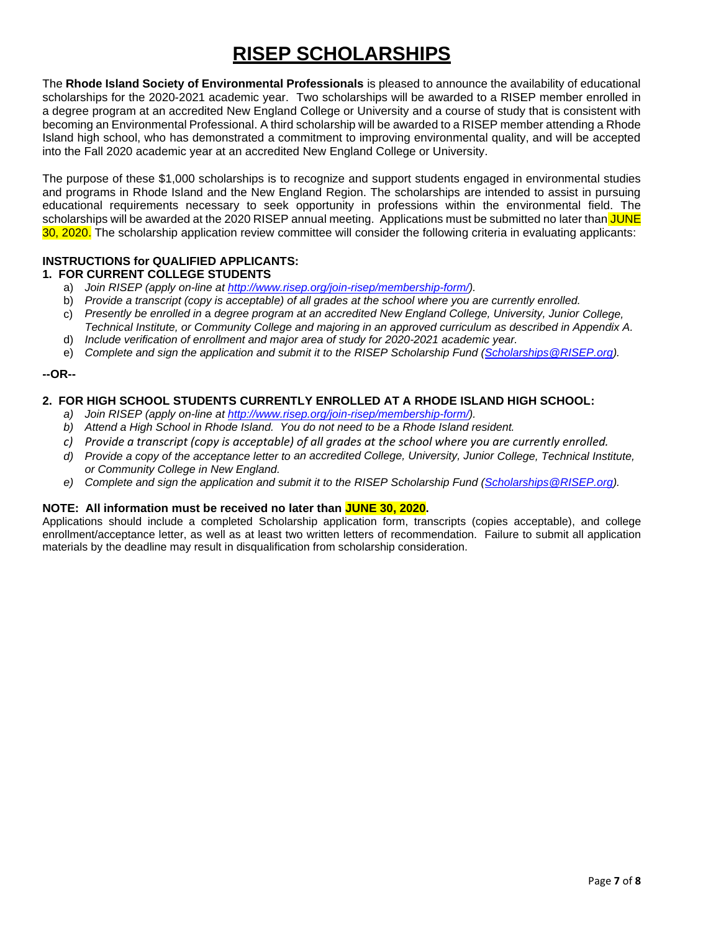# **RISEP SCHOLARSHIPS**

The **Rhode Island Society of Environmental Professionals** is pleased to announce the availability of educational scholarships for the 2020-2021 academic year. Two scholarships will be awarded to a RISEP member enrolled in a degree program at an accredited New England College or University and a course of study that is consistent with becoming an Environmental Professional. A third scholarship will be awarded to a RISEP member attending a Rhode Island high school, who has demonstrated a commitment to improving environmental quality, and will be accepted into the Fall 2020 academic year at an accredited New England College or University.

The purpose of these \$1,000 scholarships is to recognize and support students engaged in environmental studies and programs in Rhode Island and the New England Region. The scholarships are intended to assist in pursuing educational requirements necessary to seek opportunity in professions within the environmental field. The scholarships will be awarded at the 2020 RISEP annual meeting. Applications must be submitted no later than JUNE 30, 2020. The scholarship application review committee will consider the following criteria in evaluating applicants:

#### **INSTRUCTIONS for QUALIFIED APPLICANTS:**

#### **1. FOR CURRENT COLLEGE STUDENTS**

- a) *Join RISEP (apply on-line at [http://www.risep.org/join-risep/membership-form/\)](http://www.risep.org/join-risep/membership-form/).*
- b) *Provide a transcript (copy is acceptable) of all grades at the school where you are currently enrolled.*
- c) *Presently be enrolled in* a *degree program at an accredited New England College, University, Junior College, Technical Institute, or Community College and majoring in an approved curriculum as described in Appendix A.*
- d) *Include verification of enrollment and major area of study for 2020-2021 academic year.*
- e) *Complete and sign the application and submit it to the RISEP Scholarship Fund [\(Scholarships@RISEP.org\)](mailto:Scholarships@RISEP.org).*

#### **--OR--**

#### **2. FOR HIGH SCHOOL STUDENTS CURRENTLY ENROLLED AT A RHODE ISLAND HIGH SCHOOL:**

- *a) Join RISEP (apply on-line at [http://www.risep.org/join-risep/membership-form/\)](http://www.risep.org/join-risep/membership-form/).*
- *b) Attend a High School in Rhode Island. You do not need to be a Rhode Island resident.*
- *c) Provide a transcript (copy is acceptable) of all grades at the school where you are currently enrolled.*
- *d) Provide a copy of the acceptance letter to an accredited College, University, Junior College, Technical Institute, or Community College in New England.*
- *e) Complete and sign the application and submit it to the RISEP Scholarship Fund [\(Scholarships@RISEP.org\)](mailto:Scholarships@RISEP.org).*

#### **NOTE: All information must be received no later than JUNE 30, 2020.**

Applications should include a completed Scholarship application form, transcripts (copies acceptable), and college enrollment/acceptance letter, as well as at least two written letters of recommendation. Failure to submit all application materials by the deadline may result in disqualification from scholarship consideration.